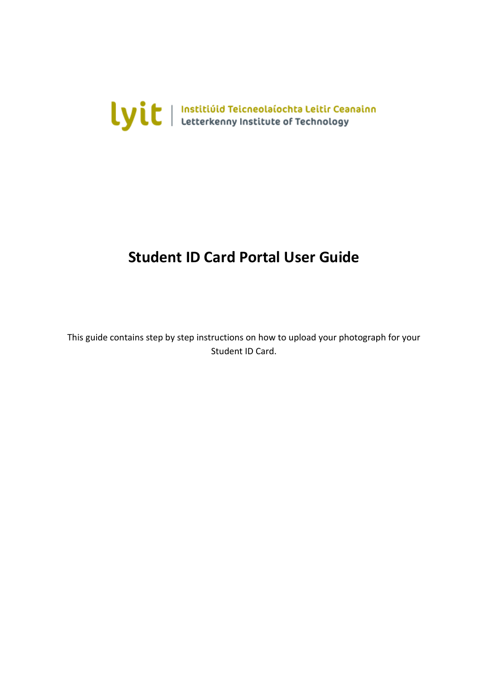

## **Student ID Card Portal User Guide**

This guide contains step by step instructions on how to upload your photograph for your Student ID Card.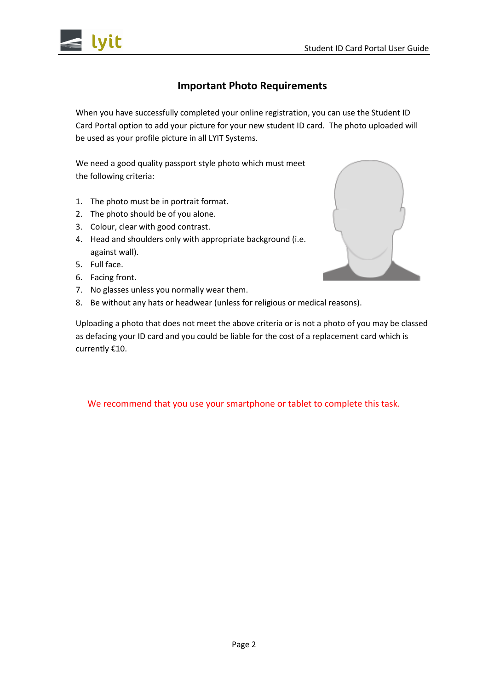

### **Important Photo Requirements**

When you have successfully completed your online registration, you can use the Student ID Card Portal option to add your picture for your new student ID card. The photo uploaded will be used as your profile picture in all LYIT Systems.

We need a good quality passport style photo which must meet the following criteria:

- 1. The photo must be in portrait format.
- 2. The photo should be of you alone.
- 3. Colour, clear with good contrast.
- 4. Head and shoulders only with appropriate background (i.e. against wall).
- 5. Full face.
- 6. Facing front.
- 7. No glasses unless you normally wear them.
- 8. Be without any hats or headwear (unless for religious or medical reasons).

Uploading a photo that does not meet the above criteria or is not a photo of you may be classed as defacing your ID card and you could be liable for the cost of a replacement card which is currently €10.

We recommend that you use your smartphone or tablet to complete this task.

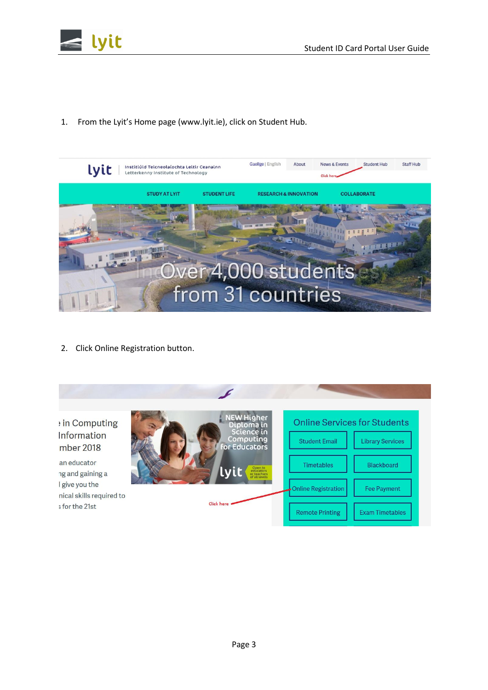

1. From the Lyit's Home page (www.lyit.ie), click on Student Hub.



2. Click Online Registration button.

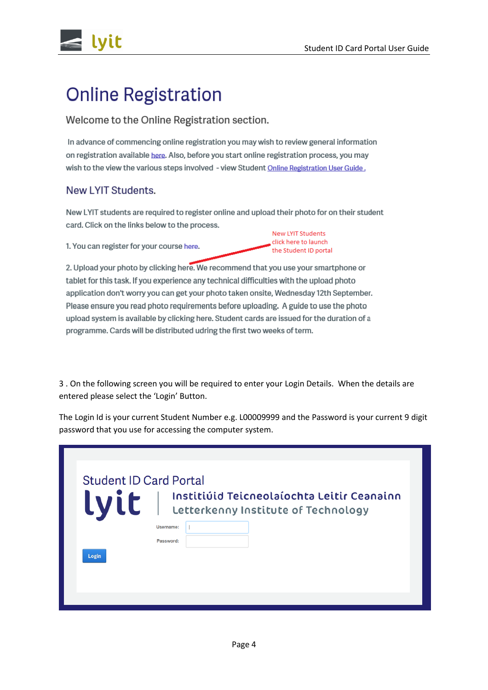lvit

# **Online Registration**

#### Welcome to the Online Registration section.

In advance of commencing online registration you may wish to review general information on registration available here. Also, before you start online registration process, you may wish to the view the various steps involved - view Student Online Registration User Guide.

#### New LYIT Students.

New LYIT students are required to register online and upload their photo for on their student card. Click on the links below to the process.

1. You can register for your course here.

New LYIT Students click here to launch the Student ID portal

2. Upload your photo by clicking here. We recommend that you use your smartphone or tablet for this task. If you experience any technical difficulties with the upload photo application don't worry you can get your photo taken onsite, Wednesday 12th September. Please ensure you read photo requirements before uploading. A guide to use the photo upload system is available by clicking here. Student cards are issued for the duration of a programme. Cards will be distributed udring the first two weeks of term.

3 . On the following screen you will be required to enter your Login Details. When the details are entered please select the 'Login' Button.

The Login Id is your current Student Number e.g. L00009999 and the Password is your current 9 digit password that you use for accessing the computer system.

| <b>Lyit</b> |                        |  | Letterkenny Institute of Technology | Institiúid Teicneolaíochta Leitir Ceanainn |  |
|-------------|------------------------|--|-------------------------------------|--------------------------------------------|--|
|             | Username:<br>Password: |  |                                     |                                            |  |
| Login       |                        |  |                                     |                                            |  |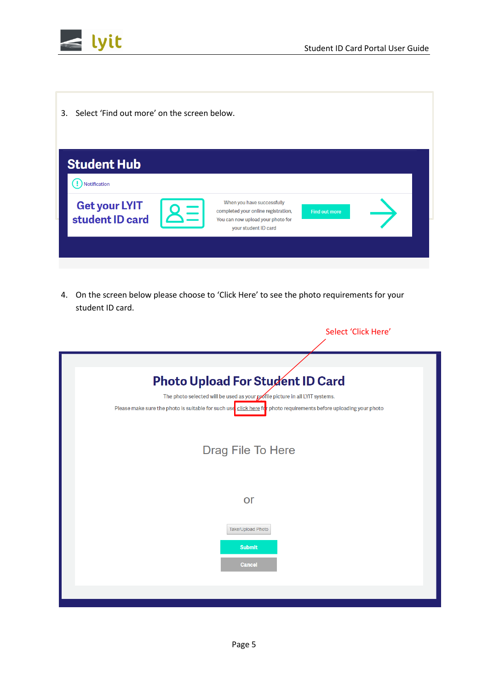



3. Select 'Find out more' on the screen below.

| <b>Student Hub</b>               |                                                                                                                                |                      |  |
|----------------------------------|--------------------------------------------------------------------------------------------------------------------------------|----------------------|--|
| Notification                     |                                                                                                                                |                      |  |
| Get your LYIT<br>student ID card | When you have successfully<br>completed your online registration,<br>You can now upload your photo for<br>your student ID card | <b>Find out more</b> |  |
|                                  |                                                                                                                                |                      |  |

4. On the screen below please choose to 'Click Here' to see the photo requirements for your student ID card.

| Select 'Click Here'                                                                                               |
|-------------------------------------------------------------------------------------------------------------------|
|                                                                                                                   |
| <b>Photo Upload For Student ID Card</b>                                                                           |
| The photo selected will be used as your portile picture in all LYIT systems.                                      |
| Please make sure the photo is suitable for such use click here for photo requirements before uploading your photo |
| Drag File To Here                                                                                                 |
| <b>or</b>                                                                                                         |
| Take/Upload Photo                                                                                                 |
| <b>Submit</b>                                                                                                     |
| <b>Cancel</b>                                                                                                     |
|                                                                                                                   |
|                                                                                                                   |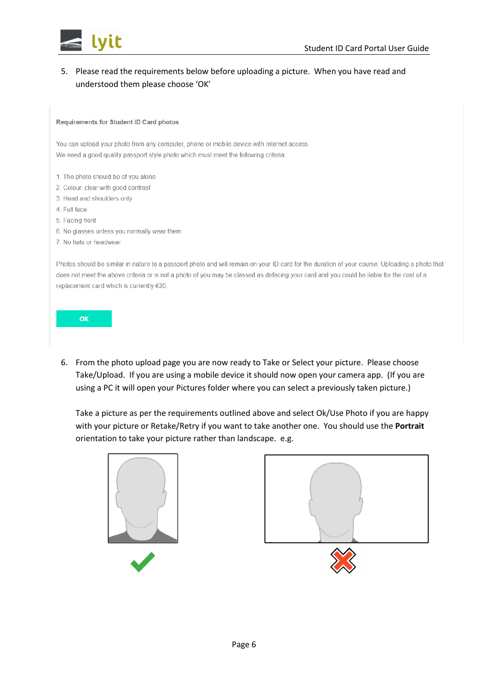

#### 5. Please read the requirements below before uploading a picture. When you have read and understood them please choose 'OK'

#### **Requirements for Student ID Card photos**

You can upload your photo from any computer, phone or mobile device with Internet access. We need a good quality passport style photo which must meet the following criteria:

- 1. The photo should be of you alone
- 2. Colour, clear with good contrast
- 3. Head and shoulders only
- 4. Full face
- 5. Facing front
- 6. No glasses unless you normally wear them
- 7. No hats or headwear

Photos should be similar in nature to a passport photo and will remain on your ID card for the duration of your course. Uploading a photo that does not meet the above criteria or is not a photo of you may be classed as defacing your card and you could be liable for the cost of a replacement card which is currently €20.

OK

6. From the photo upload page you are now ready to Take or Select your picture. Please choose Take/Upload. If you are using a mobile device it should now open your camera app. (If you are using a PC it will open your Pictures folder where you can select a previously taken picture.)

Take a picture as per the requirements outlined above and select Ok/Use Photo if you are happy with your picture or Retake/Retry if you want to take another one. You should use the **Portrait**  orientation to take your picture rather than landscape. e.g.